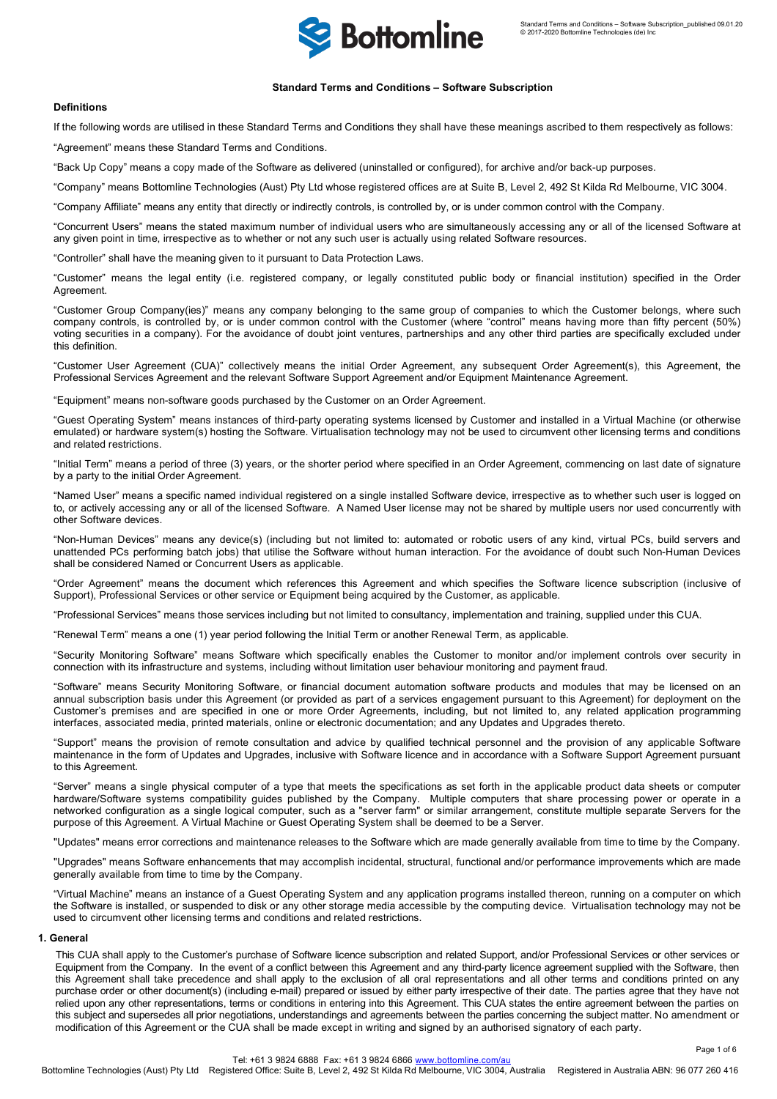

## **Standard Terms and Conditions – Software Subscription**

# **Definitions**

If the following words are utilised in these Standard Terms and Conditions they shall have these meanings ascribed to them respectively as follows:

"Agreement" means these Standard Terms and Conditions.

"Back Up Copy" means a copy made of the Software as delivered (uninstalled or configured), for archive and/or back-up purposes.

"Company" means Bottomline Technologies (Aust) Pty Ltd whose registered offices are at Suite B, Level 2, 492 St Kilda Rd Melbourne, VIC 3004.

"Company Affiliate" means any entity that directly or indirectly controls, is controlled by, or is under common control with the Company.

"Concurrent Users" means the stated maximum number of individual users who are simultaneously accessing any or all of the licensed Software at any given point in time, irrespective as to whether or not any such user is actually using related Software resources.

"Controller" shall have the meaning given to it pursuant to Data Protection Laws.

"Customer" means the legal entity (i.e. registered company, or legally constituted public body or financial institution) specified in the Order Agreement.

"Customer Group Company(ies)" means any company belonging to the same group of companies to which the Customer belongs, where such company controls, is controlled by, or is under common control with the Customer (where "control" means having more than fifty percent (50%) voting securities in a company). For the avoidance of doubt joint ventures, partnerships and any other third parties are specifically excluded under this definition.

"Customer User Agreement (CUA)" collectively means the initial Order Agreement, any subsequent Order Agreement(s), this Agreement, the Professional Services Agreement and the relevant Software Support Agreement and/or Equipment Maintenance Agreement.

"Equipment" means non-software goods purchased by the Customer on an Order Agreement.

"Guest Operating System" means instances of third-party operating systems licensed by Customer and installed in a Virtual Machine (or otherwise emulated) or hardware system(s) hosting the Software. Virtualisation technology may not be used to circumvent other licensing terms and conditions and related restrictions.

"Initial Term" means a period of three (3) years, or the shorter period where specified in an Order Agreement, commencing on last date of signature by a party to the initial Order Agreement.

"Named User" means a specific named individual registered on a single installed Software device, irrespective as to whether such user is logged on to, or actively accessing any or all of the licensed Software. A Named User license may not be shared by multiple users nor used concurrently with other Software devices.

"Non-Human Devices" means any device(s) (including but not limited to: automated or robotic users of any kind, virtual PCs, build servers and unattended PCs performing batch jobs) that utilise the Software without human interaction. For the avoidance of doubt such Non-Human Devices shall be considered Named or Concurrent Users as applicable.

"Order Agreement" means the document which references this Agreement and which specifies the Software licence subscription (inclusive of Support), Professional Services or other service or Equipment being acquired by the Customer, as applicable.

"Professional Services" means those services including but not limited to consultancy, implementation and training, supplied under this CUA.

"Renewal Term" means a one (1) year period following the Initial Term or another Renewal Term, as applicable.

"Security Monitoring Software" means Software which specifically enables the Customer to monitor and/or implement controls over security in connection with its infrastructure and systems, including without limitation user behaviour monitoring and payment fraud.

"Software" means Security Monitoring Software, or financial document automation software products and modules that may be licensed on an annual subscription basis under this Agreement (or provided as part of a services engagement pursuant to this Agreement) for deployment on the Customer's premises and are specified in one or more Order Agreements, including, but not limited to, any related application programming interfaces, associated media, printed materials, online or electronic documentation; and any Updates and Upgrades thereto.

"Support" means the provision of remote consultation and advice by qualified technical personnel and the provision of any applicable Software maintenance in the form of Updates and Upgrades, inclusive with Software licence and in accordance with a Software Support Agreement pursuant to this Agreement.

"Server" means a single physical computer of a type that meets the specifications as set forth in the applicable product data sheets or computer hardware/Software systems compatibility guides published by the Company. Multiple computers that share processing power or operate in a networked configuration as a single logical computer, such as a "server farm" or similar arrangement, constitute multiple separate Servers for the purpose of this Agreement. A Virtual Machine or Guest Operating System shall be deemed to be a Server.

"Updates" means error corrections and maintenance releases to the Software which are made generally available from time to time by the Company.

"Upgrades" means Software enhancements that may accomplish incidental, structural, functional and/or performance improvements which are made generally available from time to time by the Company.

"Virtual Machine" means an instance of a Guest Operating System and any application programs installed thereon, running on a computer on which the Software is installed, or suspended to disk or any other storage media accessible by the computing device. Virtualisation technology may not be used to circumvent other licensing terms and conditions and related restrictions.

# **1. General**

This CUA shall apply to the Customer's purchase of Software licence subscription and related Support, and/or Professional Services or other services or Equipment from the Company. In the event of a conflict between this Agreement and any third-party licence agreement supplied with the Software, then this Agreement shall take precedence and shall apply to the exclusion of all oral representations and all other terms and conditions printed on any purchase order or other document(s) (including e-mail) prepared or issued by either party irrespective of their date. The parties agree that they have not relied upon any other representations, terms or conditions in entering into this Agreement. This CUA states the entire agreement between the parties on this subject and supersedes all prior negotiations, understandings and agreements between the parties concerning the subject matter. No amendment or modification of this Agreement or the CUA shall be made except in writing and signed by an authorised signatory of each party.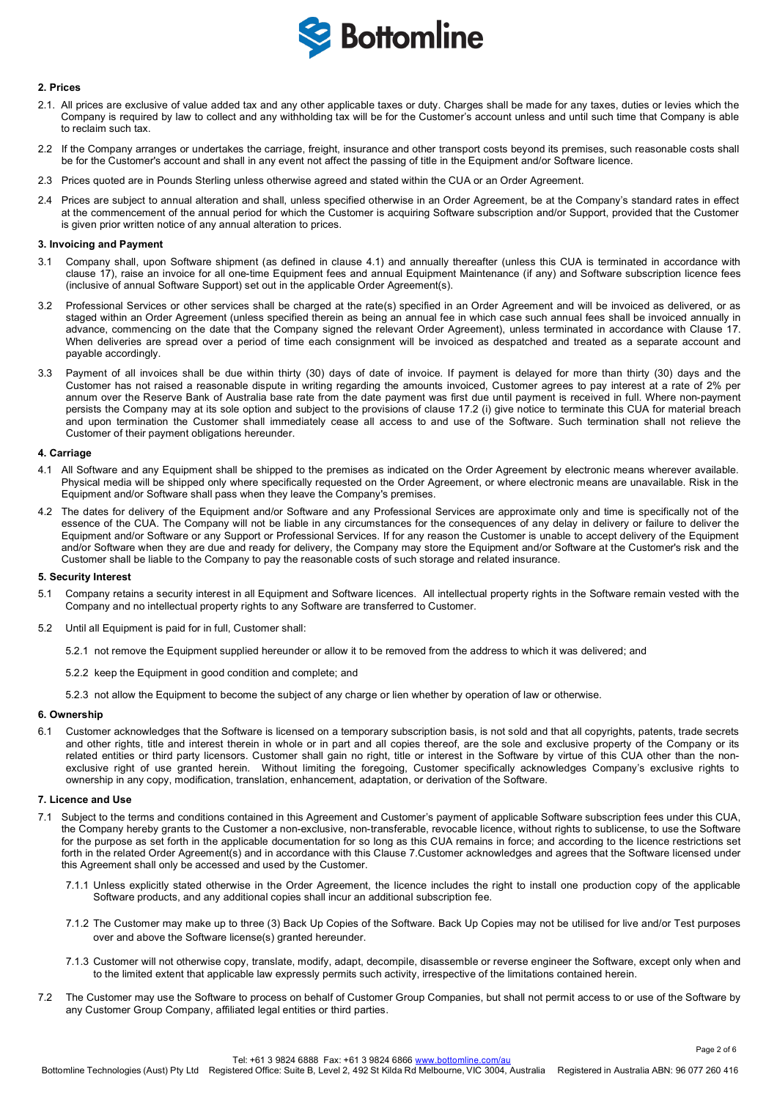

### **2. Prices**

- 2.1. All prices are exclusive of value added tax and any other applicable taxes or duty. Charges shall be made for any taxes, duties or levies which the Company is required by law to collect and any withholding tax will be for the Customer's account unless and until such time that Company is able to reclaim such tax.
- 2.2 If the Company arranges or undertakes the carriage, freight, insurance and other transport costs beyond its premises, such reasonable costs shall be for the Customer's account and shall in any event not affect the passing of title in the Equipment and/or Software licence.
- 2.3 Prices quoted are in Pounds Sterling unless otherwise agreed and stated within the CUA or an Order Agreement.
- 2.4 Prices are subject to annual alteration and shall, unless specified otherwise in an Order Agreement, be at the Company's standard rates in effect at the commencement of the annual period for which the Customer is acquiring Software subscription and/or Support, provided that the Customer is given prior written notice of any annual alteration to prices.

#### **3. Invoicing and Payment**

- 3.1 Company shall, upon Software shipment (as defined in clause 4.1) and annually thereafter (unless this CUA is terminated in accordance with clause 17), raise an invoice for all one-time Equipment fees and annual Equipment Maintenance (if any) and Software subscription licence fees (inclusive of annual Software Support) set out in the applicable Order Agreement(s).
- 3.2 Professional Services or other services shall be charged at the rate(s) specified in an Order Agreement and will be invoiced as delivered, or as staged within an Order Agreement (unless specified therein as being an annual fee in which case such annual fees shall be invoiced annually in advance, commencing on the date that the Company signed the relevant Order Agreement), unless terminated in accordance with Clause 17. When deliveries are spread over a period of time each consignment will be invoiced as despatched and treated as a separate account and payable accordingly.
- 3.3 Payment of all invoices shall be due within thirty (30) days of date of invoice. If payment is delayed for more than thirty (30) days and the Customer has not raised a reasonable dispute in writing regarding the amounts invoiced, Customer agrees to pay interest at a rate of 2% per annum over the Reserve Bank of Australia base rate from the date payment was first due until payment is received in full. Where non-payment persists the Company may at its sole option and subject to the provisions of clause 17.2 (i) give notice to terminate this CUA for material breach and upon termination the Customer shall immediately cease all access to and use of the Software. Such termination shall not relieve the Customer of their payment obligations hereunder.

#### **4. Carriage**

- 4.1 All Software and any Equipment shall be shipped to the premises as indicated on the Order Agreement by electronic means wherever available. Physical media will be shipped only where specifically requested on the Order Agreement, or where electronic means are unavailable. Risk in the Equipment and/or Software shall pass when they leave the Company's premises.
- 4.2 The dates for delivery of the Equipment and/or Software and any Professional Services are approximate only and time is specifically not of the essence of the CUA. The Company will not be liable in any circumstances for the consequences of any delay in delivery or failure to deliver the Equipment and/or Software or any Support or Professional Services. If for any reason the Customer is unable to accept delivery of the Equipment and/or Software when they are due and ready for delivery, the Company may store the Equipment and/or Software at the Customer's risk and the Customer shall be liable to the Company to pay the reasonable costs of such storage and related insurance.

### **5. Security Interest**

- 5.1 Company retains a security interest in all Equipment and Software licences. All intellectual property rights in the Software remain vested with the Company and no intellectual property rights to any Software are transferred to Customer.
- 5.2 Until all Equipment is paid for in full, Customer shall:
	- 5.2.1 not remove the Equipment supplied hereunder or allow it to be removed from the address to which it was delivered; and
	- 5.2.2 keep the Equipment in good condition and complete; and
	- 5.2.3 not allow the Equipment to become the subject of any charge or lien whether by operation of law or otherwise.

### **6. Ownership**

6.1 Customer acknowledges that the Software is licensed on a temporary subscription basis, is not sold and that all copyrights, patents, trade secrets and other rights, title and interest therein in whole or in part and all copies thereof, are the sole and exclusive property of the Company or its related entities or third party licensors. Customer shall gain no right, title or interest in the Software by virtue of this CUA other than the nonexclusive right of use granted herein. Without limiting the foregoing, Customer specifically acknowledges Company's exclusive rights to ownership in any copy, modification, translation, enhancement, adaptation, or derivation of the Software.

#### **7. Licence and Use**

- 7.1 Subject to the terms and conditions contained in this Agreement and Customer's payment of applicable Software subscription fees under this CUA, the Company hereby grants to the Customer a non-exclusive, non-transferable, revocable licence, without rights to sublicense, to use the Software for the purpose as set forth in the applicable documentation for so long as this CUA remains in force; and according to the licence restrictions set forth in the related Order Agreement(s) and in accordance with this Clause 7.Customer acknowledges and agrees that the Software licensed under this Agreement shall only be accessed and used by the Customer.
	- 7.1.1 Unless explicitly stated otherwise in the Order Agreement, the licence includes the right to install one production copy of the applicable Software products, and any additional copies shall incur an additional subscription fee.
	- 7.1.2 The Customer may make up to three (3) Back Up Copies of the Software. Back Up Copies may not be utilised for live and/or Test purposes over and above the Software license(s) granted hereunder.
	- 7.1.3 Customer will not otherwise copy, translate, modify, adapt, decompile, disassemble or reverse engineer the Software, except only when and to the limited extent that applicable law expressly permits such activity, irrespective of the limitations contained herein.
- 7.2 The Customer may use the Software to process on behalf of Customer Group Companies, but shall not permit access to or use of the Software by any Customer Group Company, affiliated legal entities or third parties.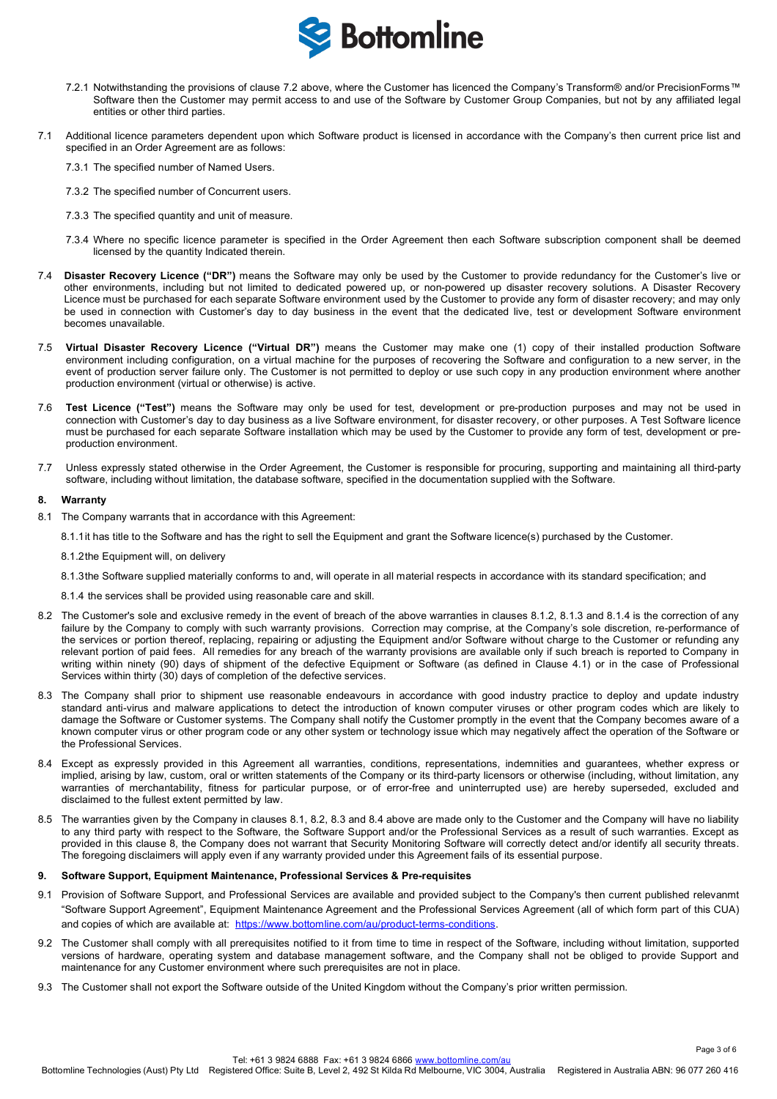

- 7.2.1 Notwithstanding the provisions of clause 7.2 above, where the Customer has licenced the Company's Transform® and/or PrecisionForms™ Software then the Customer may permit access to and use of the Software by Customer Group Companies, but not by any affiliated legal entities or other third parties.
- 7.1 Additional licence parameters dependent upon which Software product is licensed in accordance with the Company's then current price list and specified in an Order Agreement are as follows:

7.3.1 The specified number of Named Users.

- 7.3.2 The specified number of Concurrent users.
- 7.3.3 The specified quantity and unit of measure.
- 7.3.4 Where no specific licence parameter is specified in the Order Agreement then each Software subscription component shall be deemed licensed by the quantity Indicated therein.
- 7.4 **Disaster Recovery Licence ("DR")** means the Software may only be used by the Customer to provide redundancy for the Customer's live or other environments, including but not limited to dedicated powered up, or non-powered up disaster recovery solutions. A Disaster Recovery Licence must be purchased for each separate Software environment used by the Customer to provide any form of disaster recovery; and may only be used in connection with Customer's day to day business in the event that the dedicated live, test or development Software environment becomes unavailable.
- 7.5 **Virtual Disaster Recovery Licence ("Virtual DR")** means the Customer may make one (1) copy of their installed production Software environment including configuration, on a virtual machine for the purposes of recovering the Software and configuration to a new server, in the event of production server failure only. The Customer is not permitted to deploy or use such copy in any production environment where another production environment (virtual or otherwise) is active.
- 7.6 **Test Licence ("Test")** means the Software may only be used for test, development or pre-production purposes and may not be used in connection with Customer's day to day business as a live Software environment, for disaster recovery, or other purposes. A Test Software licence must be purchased for each separate Software installation which may be used by the Customer to provide any form of test, development or preproduction environment.
- 7.7 Unless expressly stated otherwise in the Order Agreement, the Customer is responsible for procuring, supporting and maintaining all third-party software, including without limitation, the database software, specified in the documentation supplied with the Software.

### **8. Warranty**

8.1 The Company warrants that in accordance with this Agreement:

8.1.1it has title to the Software and has the right to sell the Equipment and grant the Software licence(s) purchased by the Customer.

- 8.1.2the Equipment will, on delivery
- 8.1.3the Software supplied materially conforms to and, will operate in all material respects in accordance with its standard specification; and
- 8.1.4 the services shall be provided using reasonable care and skill.
- 8.2 The Customer's sole and exclusive remedy in the event of breach of the above warranties in clauses 8.1.2, 8.1.3 and 8.1.4 is the correction of any failure by the Company to comply with such warranty provisions. Correction may comprise, at the Company's sole discretion, re-performance of the services or portion thereof, replacing, repairing or adjusting the Equipment and/or Software without charge to the Customer or refunding any relevant portion of paid fees. All remedies for any breach of the warranty provisions are available only if such breach is reported to Company in writing within ninety (90) days of shipment of the defective Equipment or Software (as defined in Clause 4.1) or in the case of Professional Services within thirty (30) days of completion of the defective services.
- 8.3 The Company shall prior to shipment use reasonable endeavours in accordance with good industry practice to deploy and update industry standard anti-virus and malware applications to detect the introduction of known computer viruses or other program codes which are likely to damage the Software or Customer systems. The Company shall notify the Customer promptly in the event that the Company becomes aware of a known computer virus or other program code or any other system or technology issue which may negatively affect the operation of the Software or the Professional Services.
- 8.4 Except as expressly provided in this Agreement all warranties, conditions, representations, indemnities and guarantees, whether express or implied, arising by law, custom, oral or written statements of the Company or its third-party licensors or otherwise (including, without limitation, any warranties of merchantability, fitness for particular purpose, or of error-free and uninterrupted use) are hereby superseded, excluded and disclaimed to the fullest extent permitted by law.
- 8.5 The warranties given by the Company in clauses 8.1, 8.2, 8.3 and 8.4 above are made only to the Customer and the Company will have no liability to any third party with respect to the Software, the Software Support and/or the Professional Services as a result of such warranties. Except as provided in this clause 8, the Company does not warrant that Security Monitoring Software will correctly detect and/or identify all security threats. The foregoing disclaimers will apply even if any warranty provided under this Agreement fails of its essential purpose.

# **9. Software Support, Equipment Maintenance, Professional Services & Pre-requisites**

- 9.1 Provision of Software Support, and Professional Services are available and provided subject to the Company's then current published relevanmt "Software Support Agreement", Equipment Maintenance Agreement and the Professional Services Agreement (all of which form part of this CUA) and copies of which are available at: https://www.bottomline.com/au/product-terms-conditions.
- 9.2 The Customer shall comply with all prerequisites notified to it from time to time in respect of the Software, including without limitation, supported versions of hardware, operating system and database management software, and the Company shall not be obliged to provide Support and maintenance for any Customer environment where such prerequisites are not in place.
- 9.3 The Customer shall not export the Software outside of the United Kingdom without the Company's prior written permission.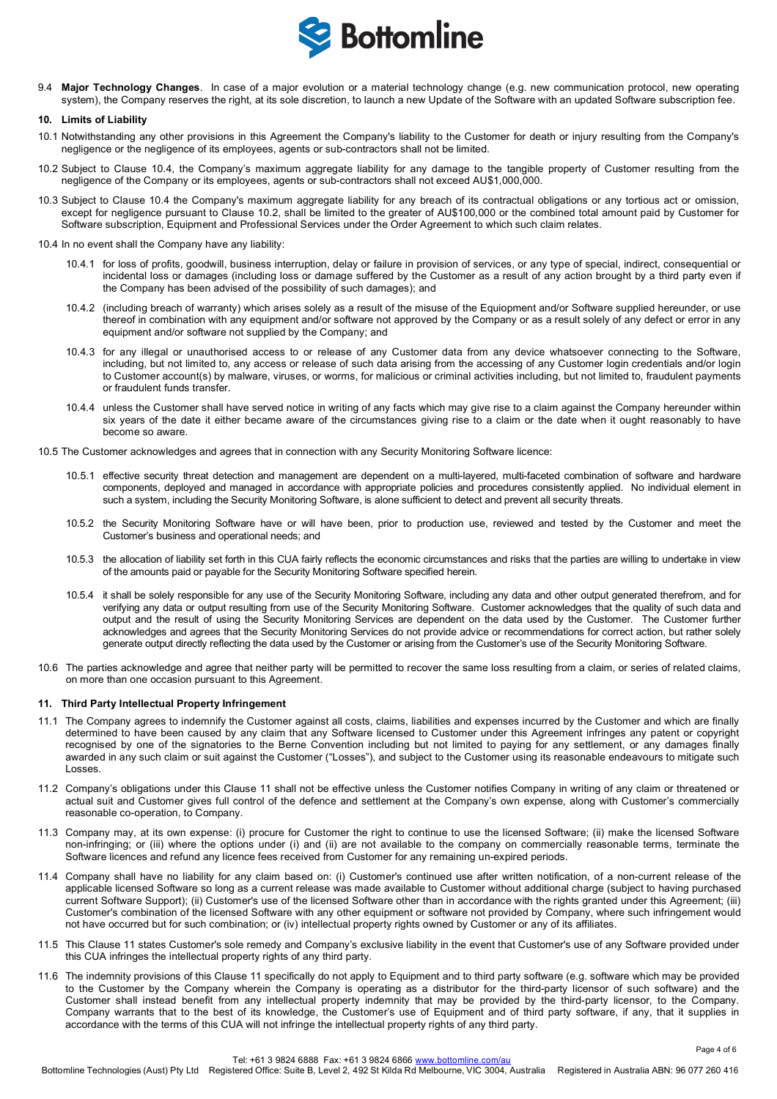

9.4 **Major Technology Changes**. In case of a major evolution or a material technology change (e.g. new communication protocol, new operating system), the Company reserves the right, at its sole discretion, to launch a new Update of the Software with an updated Software subscription fee.

#### **10. Limits of Liability**

- 10.1 Notwithstanding any other provisions in this Agreement the Company's liability to the Customer for death or injury resulting from the Company's negligence or the negligence of its employees, agents or sub-contractors shall not be limited.
- 10.2 Subject to Clause 10.4, the Company's maximum aggregate liability for any damage to the tangible property of Customer resulting from the negligence of the Company or its employees, agents or sub-contractors shall not exceed AU\$1,000,000.
- 10.3 Subject to Clause 10.4 the Company's maximum aggregate liability for any breach of its contractual obligations or any tortious act or omission, except for negligence pursuant to Clause 10.2, shall be limited to the greater of AU\$100,000 or the combined total amount paid by Customer for Software subscription, Equipment and Professional Services under the Order Agreement to which such claim relates.
- 10.4 In no event shall the Company have any liability:
	- 10.4.1 for loss of profits, goodwill, business interruption, delay or failure in provision of services, or any type of special, indirect, consequential or incidental loss or damages (including loss or damage suffered by the Customer as a result of any action brought by a third party even if the Company has been advised of the possibility of such damages); and
	- 10.4.2 (including breach of warranty) which arises solely as a result of the misuse of the Equiopment and/or Software supplied hereunder, or use thereof in combination with any equipment and/or software not approved by the Company or as a result solely of any defect or error in any equipment and/or software not supplied by the Company; and
	- 10.4.3 for any illegal or unauthorised access to or release of any Customer data from any device whatsoever connecting to the Software, including, but not limited to, any access or release of such data arising from the accessing of any Customer login credentials and/or login to Customer account(s) by malware, viruses, or worms, for malicious or criminal activities including, but not limited to, fraudulent payments or fraudulent funds transfer.
	- 10.4.4 unless the Customer shall have served notice in writing of any facts which may give rise to a claim against the Company hereunder within six years of the date it either became aware of the circumstances giving rise to a claim or the date when it ought reasonably to have become so aware.
- 10.5 The Customer acknowledges and agrees that in connection with any Security Monitoring Software licence:
	- 10.5.1 effective security threat detection and management are dependent on a multi-layered, multi-faceted combination of software and hardware components, deployed and managed in accordance with appropriate policies and procedures consistently applied. No individual element in such a system, including the Security Monitoring Software, is alone sufficient to detect and prevent all security threats.
	- 10.5.2 the Security Monitoring Software have or will have been, prior to production use, reviewed and tested by the Customer and meet the Customer's business and operational needs; and
	- 10.5.3 the allocation of liability set forth in this CUA fairly reflects the economic circumstances and risks that the parties are willing to undertake in view of the amounts paid or payable for the Security Monitoring Software specified herein.
	- 10.5.4 it shall be solely responsible for any use of the Security Monitoring Software, including any data and other output generated therefrom, and for verifying any data or output resulting from use of the Security Monitoring Software. Customer acknowledges that the quality of such data and output and the result of using the Security Monitoring Services are dependent on the data used by the Customer. The Customer further acknowledges and agrees that the Security Monitoring Services do not provide advice or recommendations for correct action, but rather solely generate output directly reflecting the data used by the Customer or arising from the Customer's use of the Security Monitoring Software.
- 10.6 The parties acknowledge and agree that neither party will be permitted to recover the same loss resulting from a claim, or series of related claims, on more than one occasion pursuant to this Agreement.

# **11. Third Party Intellectual Property Infringement**

- 11.1 The Company agrees to indemnify the Customer against all costs, claims, liabilities and expenses incurred by the Customer and which are finally determined to have been caused by any claim that any Software licensed to Customer under this Agreement infringes any patent or copyright recognised by one of the signatories to the Berne Convention including but not limited to paying for any settlement, or any damages finally awarded in any such claim or suit against the Customer ("Losses"), and subject to the Customer using its reasonable endeavours to mitigate such Losses.
- 11.2 Company's obligations under this Clause 11 shall not be effective unless the Customer notifies Company in writing of any claim or threatened or actual suit and Customer gives full control of the defence and settlement at the Company's own expense, along with Customer's commercially reasonable co-operation, to Company.
- 11.3 Company may, at its own expense: (i) procure for Customer the right to continue to use the licensed Software; (ii) make the licensed Software non-infringing; or (iii) where the options under (i) and (ii) are not available to the company on commercially reasonable terms, terminate the Software licences and refund any licence fees received from Customer for any remaining un-expired periods.
- 11.4 Company shall have no liability for any claim based on: (i) Customer's continued use after written notification, of a non-current release of the applicable licensed Software so long as a current release was made available to Customer without additional charge (subject to having purchased current Software Support); (ii) Customer's use of the licensed Software other than in accordance with the rights granted under this Agreement; (iii) Customer's combination of the licensed Software with any other equipment or software not provided by Company, where such infringement would not have occurred but for such combination; or (iv) intellectual property rights owned by Customer or any of its affiliates.
- 11.5 This Clause 11 states Customer's sole remedy and Company's exclusive liability in the event that Customer's use of any Software provided under this CUA infringes the intellectual property rights of any third party.
- 11.6 The indemnity provisions of this Clause 11 specifically do not apply to Equipment and to third party software (e.g. software which may be provided to the Customer by the Company wherein the Company is operating as a distributor for the third-party licensor of such software) and the Customer shall instead benefit from any intellectual property indemnity that may be provided by the third-party licensor, to the Company. Company warrants that to the best of its knowledge, the Customer's use of Equipment and of third party software, if any, that it supplies in accordance with the terms of this CUA will not infringe the intellectual property rights of any third party.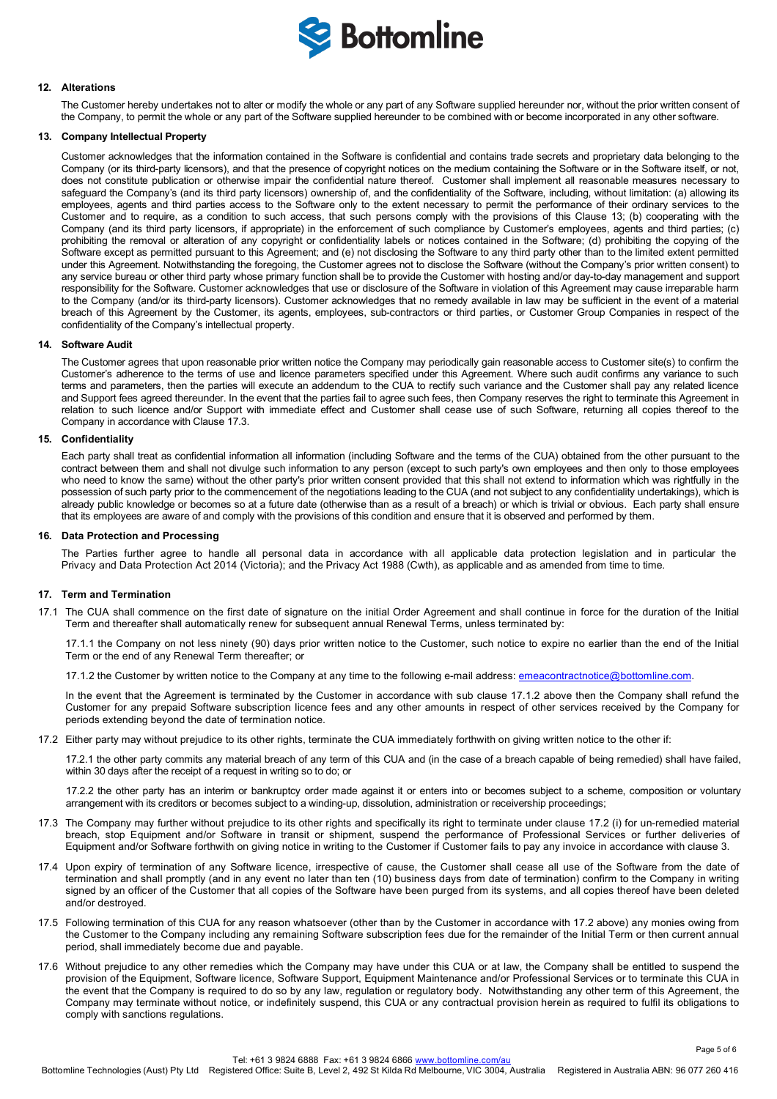

### **12. Alterations**

The Customer hereby undertakes not to alter or modify the whole or any part of any Software supplied hereunder nor, without the prior written consent of the Company, to permit the whole or any part of the Software supplied hereunder to be combined with or become incorporated in any other software.

# **13. Company Intellectual Property**

Customer acknowledges that the information contained in the Software is confidential and contains trade secrets and proprietary data belonging to the Company (or its third-party licensors), and that the presence of copyright notices on the medium containing the Software or in the Software itself, or not, does not constitute publication or otherwise impair the confidential nature thereof. Customer shall implement all reasonable measures necessary to safeguard the Company's (and its third party licensors) ownership of, and the confidentiality of the Software, including, without limitation: (a) allowing its employees, agents and third parties access to the Software only to the extent necessary to permit the performance of their ordinary services to the Customer and to require, as a condition to such access, that such persons comply with the provisions of this Clause 13; (b) cooperating with the Company (and its third party licensors, if appropriate) in the enforcement of such compliance by Customer's employees, agents and third parties; (c) prohibiting the removal or alteration of any copyright or confidentiality labels or notices contained in the Software; (d) prohibiting the copying of the Software except as permitted pursuant to this Agreement; and (e) not disclosing the Software to any third party other than to the limited extent permitted under this Agreement. Notwithstanding the foregoing, the Customer agrees not to disclose the Software (without the Company's prior written consent) to any service bureau or other third party whose primary function shall be to provide the Customer with hosting and/or day-to-day management and support responsibility for the Software. Customer acknowledges that use or disclosure of the Software in violation of this Agreement may cause irreparable harm to the Company (and/or its third-party licensors). Customer acknowledges that no remedy available in law may be sufficient in the event of a material breach of this Agreement by the Customer, its agents, employees, sub-contractors or third parties, or Customer Group Companies in respect of the confidentiality of the Company's intellectual property.

#### **14. Software Audit**

The Customer agrees that upon reasonable prior written notice the Company may periodically gain reasonable access to Customer site(s) to confirm the Customer's adherence to the terms of use and licence parameters specified under this Agreement. Where such audit confirms any variance to such terms and parameters, then the parties will execute an addendum to the CUA to rectify such variance and the Customer shall pay any related licence and Support fees agreed thereunder. In the event that the parties fail to agree such fees, then Company reserves the right to terminate this Agreement in relation to such licence and/or Support with immediate effect and Customer shall cease use of such Software, returning all copies thereof to the Company in accordance with Clause 17.3.

#### **15. Confidentiality**

Each party shall treat as confidential information all information (including Software and the terms of the CUA) obtained from the other pursuant to the contract between them and shall not divulge such information to any person (except to such party's own employees and then only to those employees who need to know the same) without the other party's prior written consent provided that this shall not extend to information which was rightfully in the possession of such party prior to the commencement of the negotiations leading to the CUA (and not subject to any confidentiality undertakings), which is already public knowledge or becomes so at a future date (otherwise than as a result of a breach) or which is trivial or obvious. Each party shall ensure that its employees are aware of and comply with the provisions of this condition and ensure that it is observed and performed by them.

#### **16. Data Protection and Processing**

The Parties further agree to handle all personal data in accordance with all applicable data protection legislation and in particular the Privacy and Data Protection Act 2014 (Victoria); and the Privacy Act 1988 (Cwth), as applicable and as amended from time to time.

# **17. Term and Termination**

17.1 The CUA shall commence on the first date of signature on the initial Order Agreement and shall continue in force for the duration of the Initial Term and thereafter shall automatically renew for subsequent annual Renewal Terms, unless terminated by:

17.1.1 the Company on not less ninety (90) days prior written notice to the Customer, such notice to expire no earlier than the end of the Initial Term or the end of any Renewal Term thereafter; or

17.1.2 the Customer by written notice to the Company at any time to the following e-mail address: emeacontractnotice@bottomline.com.

In the event that the Agreement is terminated by the Customer in accordance with sub clause 17.1.2 above then the Company shall refund the Customer for any prepaid Software subscription licence fees and any other amounts in respect of other services received by the Company for periods extending beyond the date of termination notice.

17.2 Either party may without prejudice to its other rights, terminate the CUA immediately forthwith on giving written notice to the other if:

17.2.1 the other party commits any material breach of any term of this CUA and (in the case of a breach capable of being remedied) shall have failed, within 30 days after the receipt of a request in writing so to do; or

17.2.2 the other party has an interim or bankruptcy order made against it or enters into or becomes subject to a scheme, composition or voluntary arrangement with its creditors or becomes subject to a winding-up, dissolution, administration or receivership proceedings;

- 17.3 The Company may further without prejudice to its other rights and specifically its right to terminate under clause 17.2 (i) for un-remedied material breach, stop Equipment and/or Software in transit or shipment, suspend the performance of Professional Services or further deliveries of Equipment and/or Software forthwith on giving notice in writing to the Customer if Customer fails to pay any invoice in accordance with clause 3.
- 17.4 Upon expiry of termination of any Software licence, irrespective of cause, the Customer shall cease all use of the Software from the date of termination and shall promptly (and in any event no later than ten (10) business days from date of termination) confirm to the Company in writing signed by an officer of the Customer that all copies of the Software have been purged from its systems, and all copies thereof have been deleted and/or destroyed.
- 17.5 Following termination of this CUA for any reason whatsoever (other than by the Customer in accordance with 17.2 above) any monies owing from the Customer to the Company including any remaining Software subscription fees due for the remainder of the Initial Term or then current annual period, shall immediately become due and payable.
- 17.6 Without prejudice to any other remedies which the Company may have under this CUA or at law, the Company shall be entitled to suspend the provision of the Equipment, Software licence, Software Support, Equipment Maintenance and/or Professional Services or to terminate this CUA in the event that the Company is required to do so by any law, regulation or regulatory body. Notwithstanding any other term of this Agreement, the Company may terminate without notice, or indefinitely suspend, this CUA or any contractual provision herein as required to fulfil its obligations to comply with sanctions regulations.